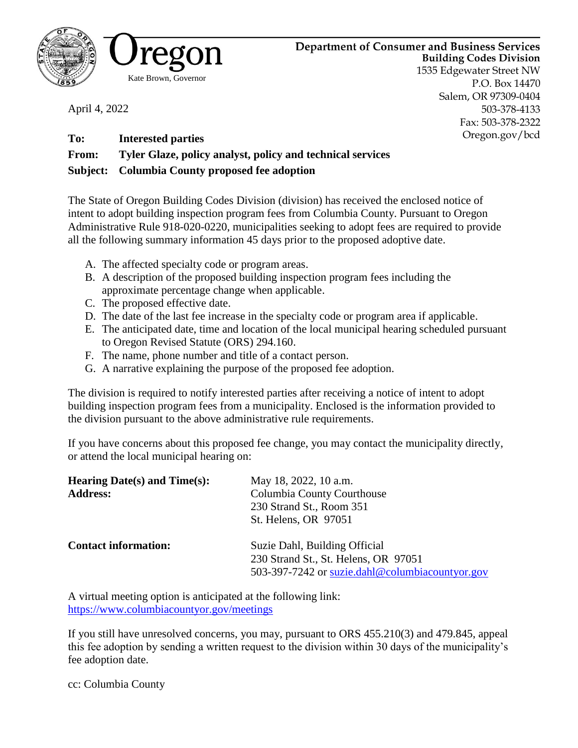

April 4, 2022



**Department of Consumer and Business Services Building Codes Division** 1535 Edgewater Street NW P.O. Box 14470 Salem, OR 97309-0404 503-378-4133 Fax: 503-378-2322 Oregon.gov/bcd

**To: Interested parties From: Tyler Glaze, policy analyst, policy and technical services Subject: Columbia County proposed fee adoption**

The State of Oregon Building Codes Division (division) has received the enclosed notice of intent to adopt building inspection program fees from Columbia County. Pursuant to Oregon Administrative Rule 918-020-0220, municipalities seeking to adopt fees are required to provide all the following summary information 45 days prior to the proposed adoptive date.

- A. The affected specialty code or program areas.
- B. A description of the proposed building inspection program fees including the approximate percentage change when applicable.
- C. The proposed effective date.
- D. The date of the last fee increase in the specialty code or program area if applicable.
- E. The anticipated date, time and location of the local municipal hearing scheduled pursuant to Oregon Revised Statute (ORS) 294.160.
- F. The name, phone number and title of a contact person.
- G. A narrative explaining the purpose of the proposed fee adoption.

The division is required to notify interested parties after receiving a notice of intent to adopt building inspection program fees from a municipality. Enclosed is the information provided to the division pursuant to the above administrative rule requirements.

If you have concerns about this proposed fee change, you may contact the municipality directly, or attend the local municipal hearing on:

| Hearing Date(s) and $Time(s)$ :<br><b>Address:</b> | May 18, 2022, 10 a.m.<br>Columbia County Courthouse<br>230 Strand St., Room 351<br>St. Helens, OR 97051                  |
|----------------------------------------------------|--------------------------------------------------------------------------------------------------------------------------|
| <b>Contact information:</b>                        | Suzie Dahl, Building Official<br>230 Strand St., St. Helens, OR 97051<br>503-397-7242 or suzie.dahl@columbiacountyor.gov |

A virtual meeting option is anticipated at the following link: <https://www.columbiacountyor.gov/meetings>

If you still have unresolved concerns, you may, pursuant to ORS 455.210(3) and 479.845, appeal this fee adoption by sending a written request to the division within 30 days of the municipality's fee adoption date.

cc: Columbia County